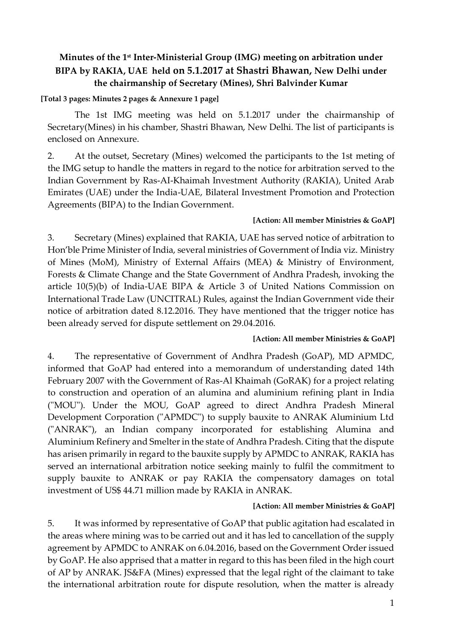## **Minutes of the 1 st Inter-Ministerial Group (IMG) meeting on arbitration under BIPA by RAKIA, UAE held on 5.1.2017 at Shastri Bhawan, New Delhi under the chairmanship of Secretary (Mines), Shri Balvinder Kumar**

### **[Total 3 pages: Minutes 2 pages & Annexure 1 page]**

The 1st IMG meeting was held on 5.1.2017 under the chairmanship of Secretary(Mines) in his chamber, Shastri Bhawan, New Delhi. The list of participants is enclosed on Annexure.

2. At the outset, Secretary (Mines) welcomed the participants to the 1st meting of the IMG setup to handle the matters in regard to the notice for arbitration served to the Indian Government by Ras-AI-Khaimah Investment Authority (RAKIA), United Arab Emirates (UAE) under the India-UAE, Bilateral Investment Promotion and Protection Agreements (BIPA) to the Indian Government.

#### **[Action: All member Ministries & GoAP]**

3. Secretary (Mines) explained that RAKIA, UAE has served notice of arbitration to Hon'ble Prime Minister of India, several ministries of Government of India viz. Ministry of Mines (MoM), Ministry of External Affairs (MEA) & Ministry of Environment, Forests & Climate Change and the State Government of Andhra Pradesh, invoking the article 10(5)(b) of India-UAE BIPA & Article 3 of United Nations Commission on International Trade Law (UNCITRAL) Rules, against the Indian Government vide their notice of arbitration dated 8.12.2016. They have mentioned that the trigger notice has been already served for dispute settlement on 29.04.2016.

#### **[Action: All member Ministries & GoAP]**

4. The representative of Government of Andhra Pradesh (GoAP), MD APMDC, informed that GoAP had entered into a memorandum of understanding dated 14th February 2007 with the Government of Ras-Al Khaimah (GoRAK) for a project relating to construction and operation of an alumina and aluminium refining plant in India ("MOU"). Under the MOU, GoAP agreed to direct Andhra Pradesh Mineral Development Corporation ("APMDC") to supply bauxite to ANRAK Aluminium Ltd ("ANRAK"), an Indian company incorporated for establishing Alumina and Aluminium Refinery and Smelter in the state of Andhra Pradesh. Citing that the dispute has arisen primarily in regard to the bauxite supply by APMDC to ANRAK, RAKIA has served an international arbitration notice seeking mainly to fulfil the commitment to supply bauxite to ANRAK or pay RAKIA the compensatory damages on total investment of US\$ 44.71 million made by RAKIA in ANRAK.

#### **[Action: All member Ministries & GoAP]**

5. It was informed by representative of GoAP that public agitation had escalated in the areas where mining was to be carried out and it has led to cancellation of the supply agreement by APMDC to ANRAK on 6.04.2016, based on the Government Order issued by GoAP. He also apprised that a matter in regard to this has been filed in the high court of AP by ANRAK. JS&FA (Mines) expressed that the legal right of the claimant to take the international arbitration route for dispute resolution, when the matter is already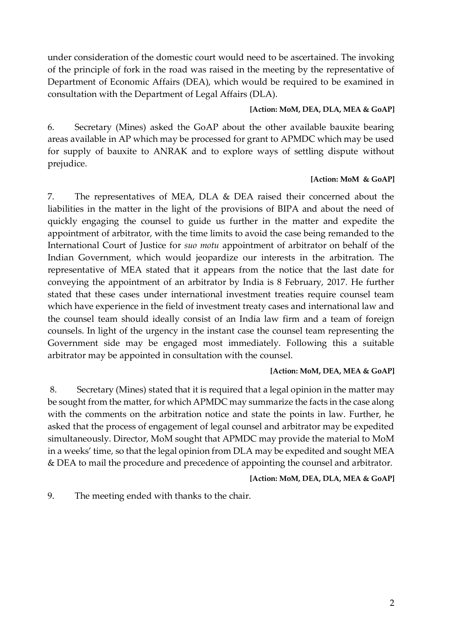under consideration of the domestic court would need to be ascertained. The invoking of the principle of fork in the road was raised in the meeting by the representative of Department of Economic Affairs (DEA), which would be required to be examined in consultation with the Department of Legal Affairs (DLA).

### **[Action: MoM, DEA, DLA, MEA & GoAP]**

6. Secretary (Mines) asked the GoAP about the other available bauxite bearing areas available in AP which may be processed for grant to APMDC which may be used for supply of bauxite to ANRAK and to explore ways of settling dispute without prejudice.

## **[Action: MoM & GoAP]**

7. The representatives of MEA, DLA & DEA raised their concerned about the liabilities in the matter in the light of the provisions of BIPA and about the need of quickly engaging the counsel to guide us further in the matter and expedite the appointment of arbitrator, with the time limits to avoid the case being remanded to the International Court of Justice for *suo motu* appointment of arbitrator on behalf of the Indian Government, which would jeopardize our interests in the arbitration. The representative of MEA stated that it appears from the notice that the last date for conveying the appointment of an arbitrator by India is 8 February, 2017. He further stated that these cases under international investment treaties require counsel team which have experience in the field of investment treaty cases and international law and the counsel team should ideally consist of an India law firm and a team of foreign counsels. In light of the urgency in the instant case the counsel team representing the Government side may be engaged most immediately. Following this a suitable arbitrator may be appointed in consultation with the counsel.

## **[Action: MoM, DEA, MEA & GoAP]**

8. Secretary (Mines) stated that it is required that a legal opinion in the matter may be sought from the matter, for which APMDC may summarize the facts in the case along with the comments on the arbitration notice and state the points in law. Further, he asked that the process of engagement of legal counsel and arbitrator may be expedited simultaneously. Director, MoM sought that APMDC may provide the material to MoM in a weeks' time, so that the legal opinion from DLA may be expedited and sought MEA & DEA to mail the procedure and precedence of appointing the counsel and arbitrator.

## **[Action: MoM, DEA, DLA, MEA & GoAP]**

9. The meeting ended with thanks to the chair.